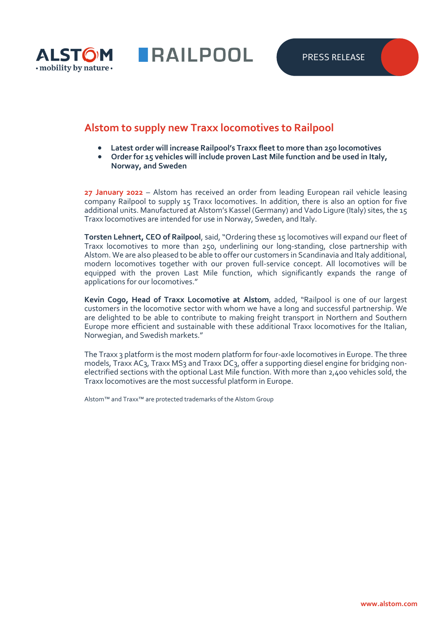

**RAILPOOL** 

## **Alstom to supply new Traxx locomotives to Railpool**

- **Latest order will increase Railpool's Traxx fleet to more than 250 locomotives**
- **Order for 15 vehicles will include proven Last Mile function and be used in Italy, Norway, and Sweden**

**27 January 2022** – Alstom has received an order from leading European rail vehicle leasing company Railpool to supply 15 Traxx locomotives. In addition, there is also an option for five additional units. Manufactured at Alstom's Kassel (Germany) and Vado Ligure (Italy) sites, the 15 Traxx locomotives are intended for use in Norway, Sweden, and Italy.

**Torsten Lehnert, CEO of Railpool**, said, "Ordering these 15 locomotives will expand our fleet of Traxx locomotives to more than 250, underlining our long-standing, close partnership with Alstom. We are also pleased to be able to offer our customers in Scandinavia and Italy additional, modern locomotives together with our proven full-service concept. All locomotives will be equipped with the proven Last Mile function, which significantly expands the range of applications for our locomotives."

**Kevin Cogo, Head of Traxx Locomotive at Alstom**, added, "Railpool is one of our largest customers in the locomotive sector with whom we have a long and successful partnership. We are delighted to be able to contribute to making freight transport in Northern and Southern Europe more efficient and sustainable with these additional Traxx locomotives for the Italian, Norwegian, and Swedish markets."

The Traxx 3 platform is the most modern platform for four-axle locomotives in Europe. The three models, Traxx AC3, Traxx MS3 and Traxx DC3, offer a supporting diesel engine for bridging nonelectrified sections with the optional Last Mile function. With more than 2,400 vehicles sold, the Traxx locomotives are the most successful platform in Europe.

Alstom™ and Traxx™ are protected trademarks of the Alstom Group